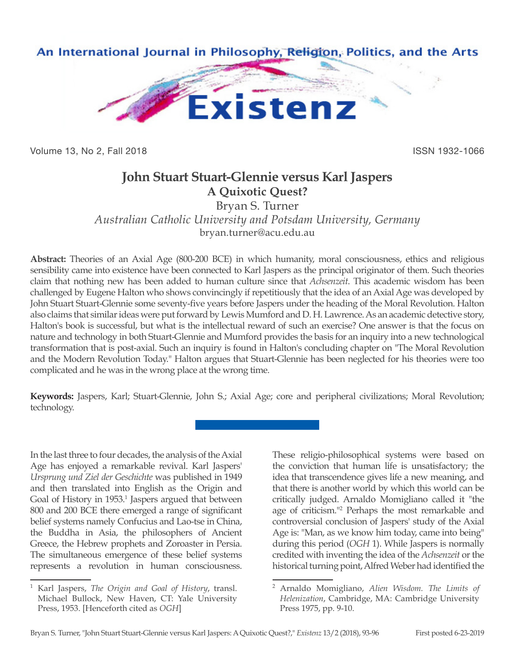

Volume 13, No 2, Fall 2018 **ISSN 1932-1066** 

## **John Stuart Stuart-Glennie versus Karl Jaspers A Quixotic Quest?**

Bryan S. Turner

*Australian Catholic University and Potsdam University, Germany* bryan.turner@acu.edu.au

**Abstract:** Theories of an Axial Age (800-200 BCE) in which humanity, moral consciousness, ethics and religious sensibility came into existence have been connected to Karl Jaspers as the principal originator of them. Such theories claim that nothing new has been added to human culture since that *Achsenzeit*. This academic wisdom has been challenged by Eugene Halton who shows convincingly if repetitiously that the idea of an Axial Age was developed by John Stuart Stuart-Glennie some seventy-five years before Jaspers under the heading of the Moral Revolution. Halton also claims that similar ideas were put forward by Lewis Mumford and D. H. Lawrence. As an academic detective story, Halton's book is successful, but what is the intellectual reward of such an exercise? One answer is that the focus on nature and technology in both Stuart-Glennie and Mumford provides the basis for an inquiry into a new technological transformation that is post-axial. Such an inquiry is found in Halton's concluding chapter on "The Moral Revolution and the Modern Revolution Today." Halton argues that Stuart-Glennie has been neglected for his theories were too complicated and he was in the wrong place at the wrong time.

**Keywords:** Jaspers, Karl; Stuart-Glennie, John S.; Axial Age; core and peripheral civilizations; Moral Revolution; technology.

In the last three to four decades, the analysis of the Axial Age has enjoyed a remarkable revival. Karl Jaspers' *Ursprung und Ziel der Geschichte* was published in 1949 and then translated into English as the Origin and Goal of History in 1953.<sup>1</sup> Jaspers argued that between 800 and 200 BCE there emerged a range of significant belief systems namely Confucius and Lao-tse in China, the Buddha in Asia, the philosophers of Ancient Greece, the Hebrew prophets and Zoroaster in Persia. The simultaneous emergence of these belief systems represents a revolution in human consciousness.

These religio-philosophical systems were based on the conviction that human life is unsatisfactory; the idea that transcendence gives life a new meaning, and that there is another world by which this world can be critically judged. Arnaldo Momigliano called it "the age of criticism."<sup>2</sup> Perhaps the most remarkable and controversial conclusion of Jaspers' study of the Axial Age is: "Man, as we know him today, came into being" during this period (*OGH* 1). While Jaspers is normally credited with inventing the idea of the *Achsenzeit* or the historical turning point, Alfred Weber had identified the

<sup>1</sup> Karl Jaspers, *The Origin and Goal of History*, transl. Michael Bullock, New Haven, CT: Yale University Press, 1953. [Henceforth cited as *OGH*]

<sup>2</sup> Arnaldo Momigliano, *Alien Wisdom. The Limits of Helenization*, Cambridge, MA: Cambridge University Press 1975, pp. 9-10.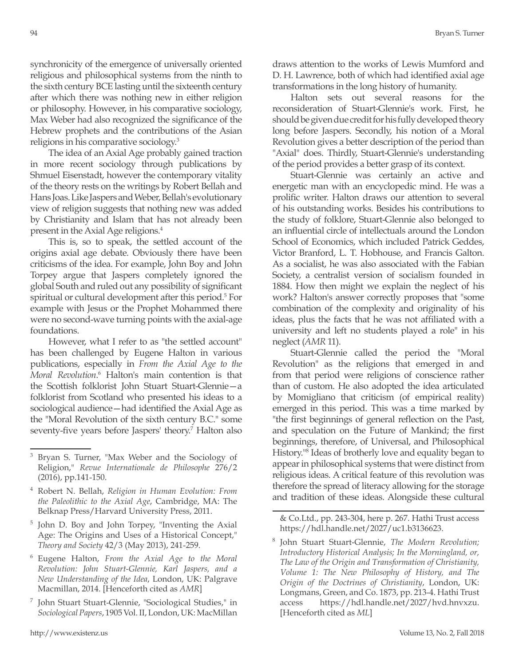synchronicity of the emergence of universally oriented religious and philosophical systems from the ninth to the sixth century BCE lasting until the sixteenth century after which there was nothing new in either religion or philosophy. However, in his comparative sociology, Max Weber had also recognized the significance of the Hebrew prophets and the contributions of the Asian religions in his comparative sociology.3

The idea of an Axial Age probably gained traction in more recent sociology through publications by Shmuel Eisenstadt, however the contemporary vitality of the theory rests on the writings by Robert Bellah and Hans Joas. Like Jaspers and Weber, Bellah's evolutionary view of religion suggests that nothing new was added by Christianity and Islam that has not already been present in the Axial Age religions.4

This is, so to speak, the settled account of the origins axial age debate. Obviously there have been criticisms of the idea. For example, John Boy and John Torpey argue that Jaspers completely ignored the global South and ruled out any possibility of significant spiritual or cultural development after this period.<sup>5</sup> For example with Jesus or the Prophet Mohammed there were no second-wave turning points with the axial-age foundations.

However, what I refer to as "the settled account" has been challenged by Eugene Halton in various publications, especially in *From the Axial Age to the*  Moral Revolution.<sup>6</sup> Halton's main contention is that the Scottish folklorist John Stuart Stuart-Glennie—a folklorist from Scotland who presented his ideas to a sociological audience—had identified the Axial Age as the "Moral Revolution of the sixth century B.C." some seventy-five years before Jaspers' theory.<sup>7</sup> Halton also draws attention to the works of Lewis Mumford and D. H. Lawrence, both of which had identified axial age transformations in the long history of humanity.

Halton sets out several reasons for the reconsideration of Stuart-Glennie's work. First, he should be given due credit for his fully developed theory long before Jaspers. Secondly, his notion of a Moral Revolution gives a better description of the period than "Axial" does. Thirdly, Stuart-Glennie's understanding of the period provides a better grasp of its context.

Stuart-Glennie was certainly an active and energetic man with an encyclopedic mind. He was a prolific writer. Halton draws our attention to several of his outstanding works. Besides his contributions to the study of folklore, Stuart-Glennie also belonged to an influential circle of intellectuals around the London School of Economics, which included Patrick Geddes, Victor Branford, L. T. Hobhouse, and Francis Galton. As a socialist, he was also associated with the Fabian Society, a centralist version of socialism founded in 1884. How then might we explain the neglect of his work? Halton's answer correctly proposes that "some combination of the complexity and originality of his ideas, plus the facts that he was not affiliated with a university and left no students played a role" in his neglect (*AMR* 11).

Stuart-Glennie called the period the "Moral Revolution" as the religions that emerged in and from that period were religions of conscience rather than of custom. He also adopted the idea articulated by Momigliano that criticism (of empirical reality) emerged in this period. This was a time marked by "the first beginnings of general reflection on the Past, and speculation on the Future of Mankind; the first beginnings, therefore, of Universal, and Philosophical History."<sup>8</sup> Ideas of brotherly love and equality began to appear in philosophical systems that were distinct from religious ideas. A critical feature of this revolution was therefore the spread of literacy allowing for the storage and tradition of these ideas. Alongside these cultural

Bryan S. Turner, "Max Weber and the Sociology of Religion," *Revue Internationale de Philosophe* 276/2 (2016), pp.141-150.

<sup>4</sup> Robert N. Bellah, *Religion in Human Evolution: From the Paleolithic to the Axial Age*, Cambridge, MA: The Belknap Press/Harvard University Press, 2011.

<sup>5</sup> John D. Boy and John Torpey, "Inventing the Axial Age: The Origins and Uses of a Historical Concept," *Theory and Society* 42/3 (May 2013), 241-259.

<sup>6</sup> Eugene Halton, *From the Axial Age to the Moral Revolution: John Stuart-Glennie, Karl Jaspers, and a New Understanding of the Idea*, London, UK: Palgrave Macmillan, 2014. [Henceforth cited as *AMR*]

<sup>7</sup> John Stuart Stuart-Glennie, "Sociological Studies," in *Sociological Papers*, 1905 Vol. II, London, UK: MacMillan

<sup>&</sup>amp; Co.Ltd., pp. 243-304, here p. 267. Hathi Trust access https://hdl.handle.net/2027/uc1.b3136623.

<sup>8</sup> John Stuart Stuart-Glennie, *The Modern Revolution; Introductory Historical Analysis; In the Morningland, or, The Law of the Origin and Transformation of Christianity, Volume 1: The New Philosophy of History, and The Origin of the Doctrines of Christianity*, London, UK: Longmans, Green, and Co. 1873, pp. 213-4. Hathi Trust access https://hdl.handle.net/2027/hvd.hnvxzu. [Henceforth cited as *ML*]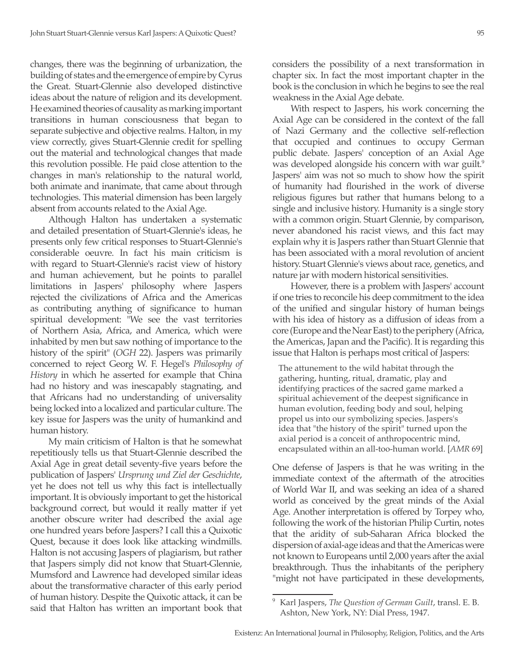changes, there was the beginning of urbanization, the building of states and the emergence of empire by Cyrus the Great. Stuart-Glennie also developed distinctive ideas about the nature of religion and its development. He examined theories of causality as marking important transitions in human consciousness that began to separate subjective and objective realms. Halton, in my view correctly, gives Stuart-Glennie credit for spelling out the material and technological changes that made this revolution possible. He paid close attention to the changes in man's relationship to the natural world, both animate and inanimate, that came about through technologies. This material dimension has been largely absent from accounts related to the Axial Age.

Although Halton has undertaken a systematic and detailed presentation of Stuart-Glennie's ideas, he presents only few critical responses to Stuart-Glennie's considerable oeuvre. In fact his main criticism is with regard to Stuart-Glennie's racist view of history and human achievement, but he points to parallel limitations in Jaspers' philosophy where Jaspers rejected the civilizations of Africa and the Americas as contributing anything of significance to human spiritual development: "We see the vast territories of Northern Asia, Africa, and America, which were inhabited by men but saw nothing of importance to the history of the spirit" (*OGH* 22). Jaspers was primarily concerned to reject Georg W. F. Hegel's *Philosophy of History* in which he asserted for example that China had no history and was inescapably stagnating, and that Africans had no understanding of universality being locked into a localized and particular culture. The key issue for Jaspers was the unity of humankind and human history.

My main criticism of Halton is that he somewhat repetitiously tells us that Stuart-Glennie described the Axial Age in great detail seventy-five years before the publication of Jaspers' *Ursprung und Ziel der Geschichte*, yet he does not tell us why this fact is intellectually important. It is obviously important to get the historical background correct, but would it really matter if yet another obscure writer had described the axial age one hundred years before Jaspers? I call this a Quixotic Quest, because it does look like attacking windmills. Halton is not accusing Jaspers of plagiarism, but rather that Jaspers simply did not know that Stuart-Glennie, Mumsford and Lawrence had developed similar ideas about the transformative character of this early period of human history. Despite the Quixotic attack, it can be said that Halton has written an important book that

considers the possibility of a next transformation in chapter six. In fact the most important chapter in the book is the conclusion in which he begins to see the real weakness in the Axial Age debate.

With respect to Jaspers, his work concerning the Axial Age can be considered in the context of the fall of Nazi Germany and the collective self-reflection that occupied and continues to occupy German public debate. Jaspers' conception of an Axial Age was developed alongside his concern with war guilt.<sup>9</sup> Jaspers' aim was not so much to show how the spirit of humanity had flourished in the work of diverse religious figures but rather that humans belong to a single and inclusive history. Humanity is a single story with a common origin. Stuart Glennie, by comparison, never abandoned his racist views, and this fact may explain why it is Jaspers rather than Stuart Glennie that has been associated with a moral revolution of ancient history. Stuart Glennie's views about race, genetics, and nature jar with modern historical sensitivities.

However, there is a problem with Jaspers' account if one tries to reconcile his deep commitment to the idea of the unified and singular history of human beings with his idea of history as a diffusion of ideas from a core (Europe and the Near East) to the periphery (Africa, the Americas, Japan and the Pacific). It is regarding this issue that Halton is perhaps most critical of Jaspers:

The attunement to the wild habitat through the gathering, hunting, ritual, dramatic, play and identifying practices of the sacred game marked a spiritual achievement of the deepest significance in human evolution, feeding body and soul, helping propel us into our symbolizing species. Jaspers's idea that "the history of the spirit" turned upon the axial period is a conceit of anthropocentric mind, encapsulated within an all-too-human world. [*AMR* 69]

One defense of Jaspers is that he was writing in the immediate context of the aftermath of the atrocities of World War II, and was seeking an idea of a shared world as conceived by the great minds of the Axial Age. Another interpretation is offered by Torpey who, following the work of the historian Philip Curtin, notes that the aridity of sub-Saharan Africa blocked the dispersion of axial-age ideas and that the Americas were not known to Europeans until 2,000 years after the axial breakthrough. Thus the inhabitants of the periphery "might not have participated in these developments,

<sup>9</sup> Karl Jaspers, *The Question of German Guilt*, transl. E. B. Ashton, New York, NY: Dial Press, 1947.